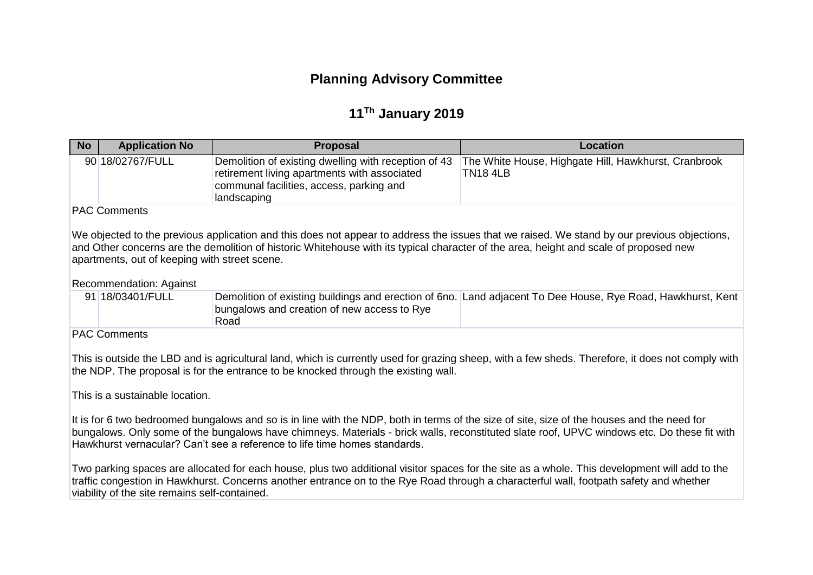# **Planning Advisory Committee**

# **11 Th January 2019**

| <b>No</b> | <b>Application No</b> | <b>Proposal</b>                                                                                                                                                 | Location                                                                |  |
|-----------|-----------------------|-----------------------------------------------------------------------------------------------------------------------------------------------------------------|-------------------------------------------------------------------------|--|
|           | 90 18/02767/FULL      | Demolition of existing dwelling with reception of 43<br>retirement living apartments with associated<br>communal facilities, access, parking and<br>landscaping | The White House, Highgate Hill, Hawkhurst, Cranbrook<br><b>TN18 4LB</b> |  |
|           | ----                  |                                                                                                                                                                 |                                                                         |  |

PAC Comments

We objected to the previous application and this does not appear to address the issues that we raised. We stand by our previous objections, and Other concerns are the demolition of historic Whitehouse with its typical character of the area, height and scale of proposed new apartments, out of keeping with street scene.

Recommendation: Against

| 91 18/03401/FULL | Demolition of existing buildings and erection of 6no. Land adjacent To Dee House, Rye Road, Hawkhurst, Kent |  |
|------------------|-------------------------------------------------------------------------------------------------------------|--|
|                  | bungalows and creation of new access to Rye                                                                 |  |
|                  | Road                                                                                                        |  |

PAC Comments

This is outside the LBD and is agricultural land, which is currently used for grazing sheep, with a few sheds. Therefore, it does not comply with the NDP. The proposal is for the entrance to be knocked through the existing wall.

This is a sustainable location.

It is for 6 two bedroomed bungalows and so is in line with the NDP, both in terms of the size of site, size of the houses and the need for bungalows. Only some of the bungalows have chimneys. Materials - brick walls, reconstituted slate roof, UPVC windows etc. Do these fit with Hawkhurst vernacular? Can't see a reference to life time homes standards.

Two parking spaces are allocated for each house, plus two additional visitor spaces for the site as a whole. This development will add to the traffic congestion in Hawkhurst. Concerns another entrance on to the Rye Road through a characterful wall, footpath safety and whether viability of the site remains self-contained.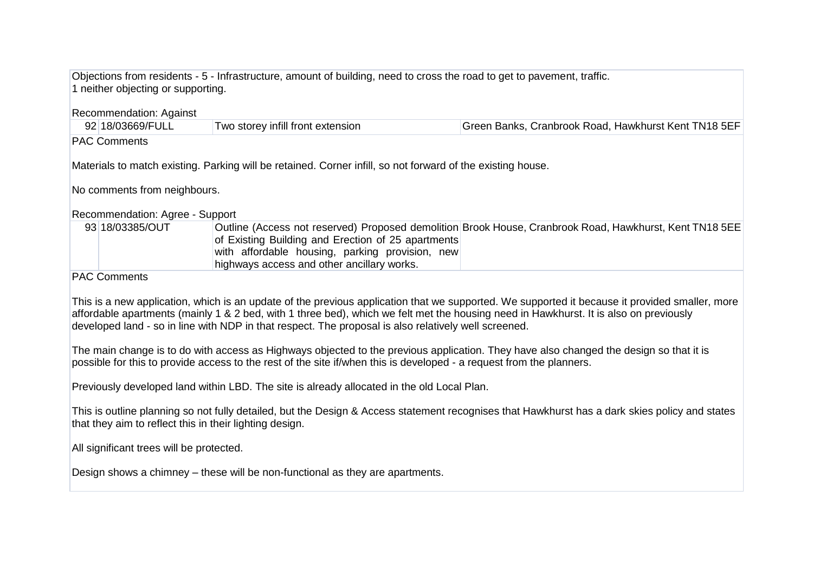Objections from residents - 5 - Infrastructure, amount of building, need to cross the road to get to pavement, traffic. 1 neither objecting or supporting.

### Recommendation: Against

| 92 18/03669/FULL | Two storey infill front extension | Green Banks, Cranbrook Road, Hawkhurst Kent TN18 5EF |
|------------------|-----------------------------------|------------------------------------------------------|
|                  |                                   |                                                      |

## PAC Comments

Materials to match existing. Parking will be retained. Corner infill, so not forward of the existing house.

No comments from neighbours.

### Recommendation: Agree - Support

| 93 18/03385/OUT | Outline (Access not reserved) Proposed demolition Brook House, Cranbrook Road, Hawkhurst, Kent TN18 5EE |
|-----------------|---------------------------------------------------------------------------------------------------------|
|                 | of Existing Building and Erection of 25 apartments                                                      |
|                 | with affordable housing, parking provision, new                                                         |
|                 | highways access and other ancillary works.                                                              |

#### PAC Comments

This is a new application, which is an update of the previous application that we supported. We supported it because it provided smaller, more affordable apartments (mainly 1 & 2 bed, with 1 three bed), which we felt met the housing need in Hawkhurst. It is also on previously developed land - so in line with NDP in that respect. The proposal is also relatively well screened.

The main change is to do with access as Highways objected to the previous application. They have also changed the design so that it is possible for this to provide access to the rest of the site if/when this is developed - a request from the planners.

Previously developed land within LBD. The site is already allocated in the old Local Plan.

This is outline planning so not fully detailed, but the Design & Access statement recognises that Hawkhurst has a dark skies policy and states that they aim to reflect this in their lighting design.

All significant trees will be protected.

Design shows a chimney – these will be non-functional as they are apartments.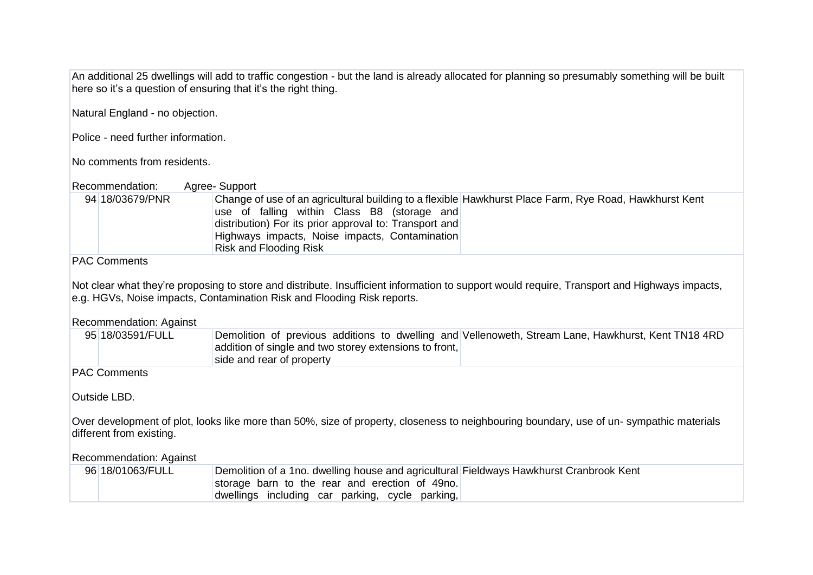An additional 25 dwellings will add to traffic congestion - but the land is already allocated for planning so presumably something will be built here so it's a question of ensuring that it's the right thing.

Natural England - no objection.

Police - need further information.

No comments from residents.

| Recommendation: | Agree-Support                                                                                                                                                                                                                                                                                      |
|-----------------|----------------------------------------------------------------------------------------------------------------------------------------------------------------------------------------------------------------------------------------------------------------------------------------------------|
| 94 18/03679/PNR | Change of use of an agricultural building to a flexible Hawkhurst Place Farm, Rye Road, Hawkhurst Kent<br>use of falling within Class B8 (storage and<br>distribution) For its prior approval to: Transport and<br>Highways impacts, Noise impacts, Contamination<br><b>Risk and Flooding Risk</b> |
|                 |                                                                                                                                                                                                                                                                                                    |

PAC Comments

Not clear what they're proposing to store and distribute. Insufficient information to support would require, Transport and Highways impacts, e.g. HGVs, Noise impacts, Contamination Risk and Flooding Risk reports.

Recommendation: Against

| 95 18/03591/FULL | Demolition of previous additions to dwelling and Vellenoweth, Stream Lane, Hawkhurst, Kent TN18 4RD |
|------------------|-----------------------------------------------------------------------------------------------------|
|                  | addition of single and two storey extensions to front,                                              |
|                  | side and rear of property                                                                           |

PAC Comments

Outside LBD.

Over development of plot, looks like more than 50%, size of property, closeness to neighbouring boundary, use of un- sympathic materials different from existing.

Recommendation: Against

| 96 18/01063/FULL | Demolition of a 1no. dwelling house and agricultural Fieldways Hawkhurst Cranbrook Kent |
|------------------|-----------------------------------------------------------------------------------------|
|                  | storage barn to the rear and erection of 49no.                                          |
|                  | dwellings including car parking, cycle parking,                                         |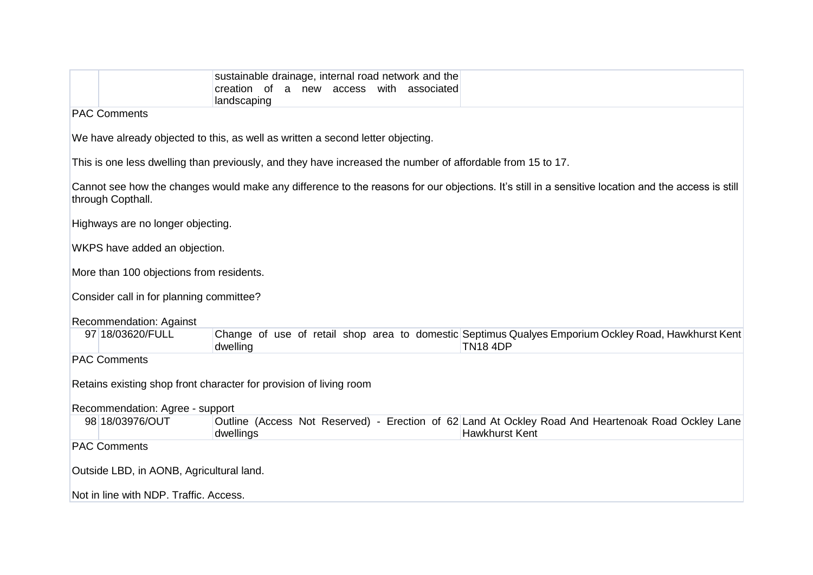|                                                                                                                                                                         | sustainable drainage, internal road network and the<br>creation of a new access<br>with associated<br>landscaping |                                                                                                                             |  |
|-------------------------------------------------------------------------------------------------------------------------------------------------------------------------|-------------------------------------------------------------------------------------------------------------------|-----------------------------------------------------------------------------------------------------------------------------|--|
| <b>PAC Comments</b>                                                                                                                                                     |                                                                                                                   |                                                                                                                             |  |
|                                                                                                                                                                         | We have already objected to this, as well as written a second letter objecting.                                   |                                                                                                                             |  |
|                                                                                                                                                                         | This is one less dwelling than previously, and they have increased the number of affordable from 15 to 17.        |                                                                                                                             |  |
| Cannot see how the changes would make any difference to the reasons for our objections. It's still in a sensitive location and the access is still<br>through Copthall. |                                                                                                                   |                                                                                                                             |  |
| Highways are no longer objecting.                                                                                                                                       |                                                                                                                   |                                                                                                                             |  |
| WKPS have added an objection.                                                                                                                                           |                                                                                                                   |                                                                                                                             |  |
| More than 100 objections from residents.                                                                                                                                |                                                                                                                   |                                                                                                                             |  |
| Consider call in for planning committee?                                                                                                                                |                                                                                                                   |                                                                                                                             |  |
| Recommendation: Against                                                                                                                                                 |                                                                                                                   |                                                                                                                             |  |
| 97 18/03620/FULL                                                                                                                                                        | dwelling                                                                                                          | Change of use of retail shop area to domestic Septimus Qualyes Emporium Ockley Road, Hawkhurst Kent<br><b>TN18 4DP</b>      |  |
| <b>PAC Comments</b>                                                                                                                                                     |                                                                                                                   |                                                                                                                             |  |
| Retains existing shop front character for provision of living room                                                                                                      |                                                                                                                   |                                                                                                                             |  |
| Recommendation: Agree - support                                                                                                                                         |                                                                                                                   |                                                                                                                             |  |
| 98 18/03976/OUT                                                                                                                                                         | dwellings                                                                                                         | Outline (Access Not Reserved) - Erection of 62 Land At Ockley Road And Heartenoak Road Ockley Lane<br><b>Hawkhurst Kent</b> |  |
| <b>PAC Comments</b>                                                                                                                                                     |                                                                                                                   |                                                                                                                             |  |
| Outside LBD, in AONB, Agricultural land.                                                                                                                                |                                                                                                                   |                                                                                                                             |  |
|                                                                                                                                                                         | Not in line with NDP. Traffic. Access.                                                                            |                                                                                                                             |  |